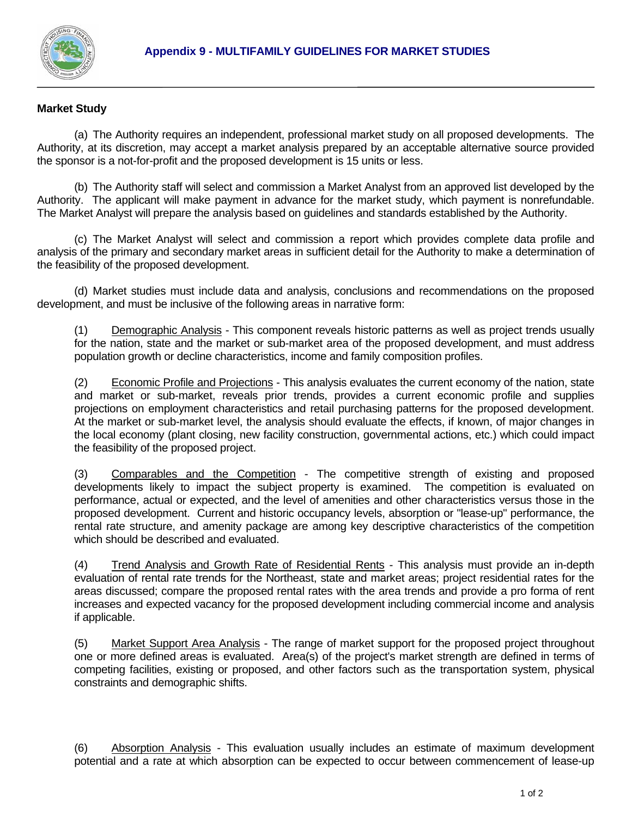

## **Market Study**

 (a) The Authority requires an independent, professional market study on all proposed developments. The Authority, at its discretion, may accept a market analysis prepared by an acceptable alternative source provided the sponsor is a not-for-profit and the proposed development is 15 units or less.

 (b) The Authority staff will select and commission a Market Analyst from an approved list developed by the Authority. The applicant will make payment in advance for the market study, which payment is nonrefundable. The Market Analyst will prepare the analysis based on guidelines and standards established by the Authority.

 (c) The Market Analyst will select and commission a report which provides complete data profile and analysis of the primary and secondary market areas in sufficient detail for the Authority to make a determination of the feasibility of the proposed development.

 (d) Market studies must include data and analysis, conclusions and recommendations on the proposed development, and must be inclusive of the following areas in narrative form:

 (1) Demographic Analysis - This component reveals historic patterns as well as project trends usually for the nation, state and the market or sub-market area of the proposed development, and must address population growth or decline characteristics, income and family composition profiles.

 (2) Economic Profile and Projections - This analysis evaluates the current economy of the nation, state and market or sub-market, reveals prior trends, provides a current economic profile and supplies projections on employment characteristics and retail purchasing patterns for the proposed development. At the market or sub-market level, the analysis should evaluate the effects, if known, of major changes in the local economy (plant closing, new facility construction, governmental actions, etc.) which could impact the feasibility of the proposed project.

 (3) Comparables and the Competition - The competitive strength of existing and proposed developments likely to impact the subject property is examined. The competition is evaluated on performance, actual or expected, and the level of amenities and other characteristics versus those in the proposed development. Current and historic occupancy levels, absorption or "lease-up" performance, the rental rate structure, and amenity package are among key descriptive characteristics of the competition which should be described and evaluated.

 (4) Trend Analysis and Growth Rate of Residential Rents - This analysis must provide an in-depth evaluation of rental rate trends for the Northeast, state and market areas; project residential rates for the areas discussed; compare the proposed rental rates with the area trends and provide a pro forma of rent increases and expected vacancy for the proposed development including commercial income and analysis if applicable.

 (5) Market Support Area Analysis - The range of market support for the proposed project throughout one or more defined areas is evaluated. Area(s) of the project's market strength are defined in terms of competing facilities, existing or proposed, and other factors such as the transportation system, physical constraints and demographic shifts.

 (6) Absorption Analysis - This evaluation usually includes an estimate of maximum development potential and a rate at which absorption can be expected to occur between commencement of lease-up